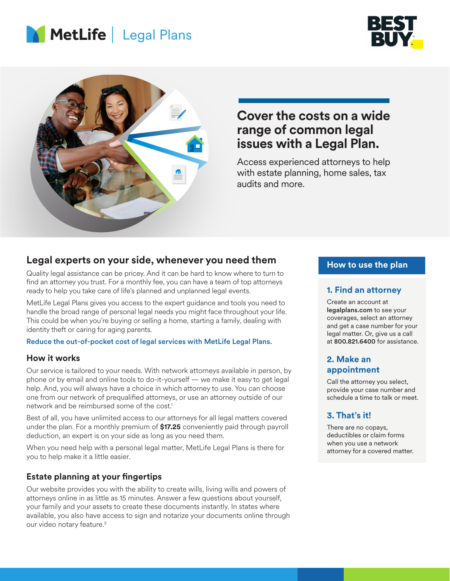





# **Cover the costs on a wide range of common legal issues with a Legal Plan.**

Access experienced attorneys to help with estate planning, home sales, tax audits and more.

### **Legal experts on your side, whenever you need them**

Quality legal assistance can be pricey. And it can be hard to know where to turn to find an attorney you trust. For a monthly fee, you can have a team of top attorneys ready to help you take care of life's planned and unplanned legal events.

MetLife Legal Plans gives you access to the expert guidance and tools you need to handle the broad range of personal legal needs you might face throughout your life. This could be when you're buying or selling a home, starting a family, dealing with identity theft or caring for aging parents.

### Reduce the out-of-pocket cost of legal services with MetLife Legal Plans.

### **How it works**

Our service is tailored to your needs. With network attorneys available in person, by phone or by email and online tools to do-it-yourself — we make it easy to get legal help. And, you will always have a choice in which attorney to use. You can choose one from our network of prequalified attorneys, or use an attorney outside of our network and be reimbursed some of the cost.<sup>1</sup>

Best of all, you have unlimited access to our attorneys for all legal matters covered under the plan. For a monthly premium of **\$17.25** conveniently paid through payroll deduction, an expert is on your side as long as you need them.

When you need help with a personal legal matter, MetLife Legal Plans is there for you to help make it a little easier.

### **Estate planning at your fingertips**

Our website provides you with the ability to create wills, living wills and powers of attorneys online in as little as 15 minutes. Answer a few questions about yourself, your family and your assets to create these documents instantly. In states where available, you also have access to sign and notarize your documents online through our video notary feature.<sup>2</sup>

### **How to use the plan**

### **1. Find an attorney**

Create an account at legalplans.com to see your coverages, select an attorney and get a case number for your legal matter. Or, give us a call at 800.821.6400 for assistance.

### **2. Make an appointment**

Call the attorney you select, provide your case number and schedule a time to talk or meet.

### **3. That's it!**

There are no copays, deductibles or claim forms when you use a network attorney for a covered matter.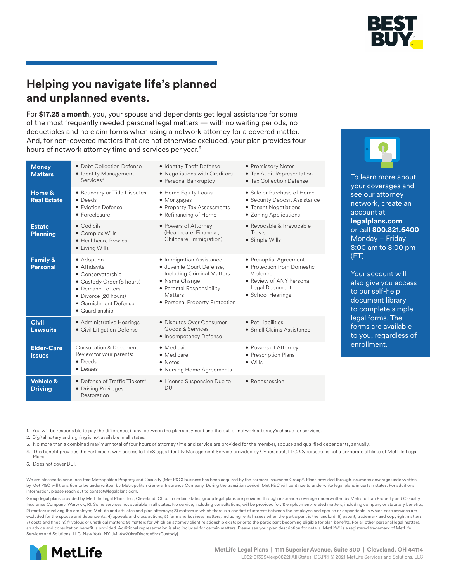

To learn more about your coverages and see our attorney network, create an

account at **legalplans.com** or call **800.821.6400** Monday – Friday 8:00 am to 8:00 pm

Your account will also give you access to our self-help document library to complete simple legal forms. The forms are available to you, regardless of

enrollment.

(ET).

# **Helping you navigate life's planned and unplanned events.**

For **\$17.25 a month**, you, your spouse and dependents get legal assistance for some of the most frequently needed personal legal matters — with no waiting periods, no deductibles and no claim forms when using a network attorney for a covered matter. And, for non-covered matters that are not otherwise excluded, your plan provides four hours of network attorney time and services per year.<sup>3</sup>

| <b>Money</b><br><b>Matters</b>         | • Debt Collection Defense<br>• Identity Management<br>Services <sup>4</sup>                                                                                         | • Identity Theft Defense<br>• Negotiations with Creditors<br>• Personal Bankruptcy                                                                                                           | • Promissory Notes<br>• Tax Audit Representation<br>• Tax Collection Defense                                                        |
|----------------------------------------|---------------------------------------------------------------------------------------------------------------------------------------------------------------------|----------------------------------------------------------------------------------------------------------------------------------------------------------------------------------------------|-------------------------------------------------------------------------------------------------------------------------------------|
| Home &<br><b>Real Estate</b>           | • Boundary or Title Disputes<br>• Deeds<br>• Eviction Defense<br>• Foreclosure                                                                                      | • Home Equity Loans<br>• Mortgages<br>• Property Tax Assessments<br>• Refinancing of Home                                                                                                    | • Sale or Purchase of Home<br>• Security Deposit Assistance<br>• Tenant Negotiations<br>• Zoning Applications                       |
| <b>Estate</b><br><b>Planning</b>       | $\bullet$ Codicils<br>• Complex Wills<br>• Healthcare Proxies<br>• Living Wills                                                                                     | • Powers of Attorney<br>(Healthcare, Financial,<br>Childcare, Immigration)                                                                                                                   | • Revocable & Irrevocable<br>Trusts<br>• Simple Wills                                                                               |
| <b>Family &amp;</b><br>Personal        | • Adoption<br>• Affidavits<br>• Conservatorship<br>• Custody Order (8 hours)<br>• Demand Letters<br>• Divorce (20 hours)<br>• Garnishment Defense<br>• Guardianship | • Immigration Assistance<br>· Juvenile Court Defense.<br><b>Including Criminal Matters</b><br>• Name Change<br>• Parental Responsibility<br><b>Matters</b><br>• Personal Property Protection | • Prenuptial Agreement<br>• Protection from Domestic<br>Violence<br>• Review of ANY Personal<br>Legal Document<br>• School Hearings |
| <b>Civil</b><br><b>Lawsuits</b>        | • Administrative Hearings<br>• Civil Litigation Defense                                                                                                             | • Disputes Over Consumer<br>Goods & Services<br>• Incompetency Defense                                                                                                                       | • Pet Liabilities<br>• Small Claims Assistance                                                                                      |
| <b>Elder-Care</b><br><b>Issues</b>     | <b>Consultation &amp; Document</b><br>Review for your parents:<br>$\bullet$ Deeds<br>$\bullet$ Leases                                                               | • Medicaid<br>• Medicare<br>• Notes<br>• Nursing Home Agreements                                                                                                                             | • Powers of Attorney<br>• Prescription Plans<br>$\bullet$ Wills                                                                     |
| <b>Vehicle &amp;</b><br><b>Driving</b> | • Defense of Traffic Tickets <sup>5</sup><br>• Driving Privileges<br>Restoration                                                                                    | • License Suspension Due to<br>DUI                                                                                                                                                           | • Repossession                                                                                                                      |

1. You will be responsible to pay the difference, if any, between the plan's payment and the out-of-network attorney's charge for services.

2. Digital notary and signing is not available in all states.

3. No more than a combined maximum total of four hours of attorney time and service are provided for the member, spouse and qualified dependents, annually.

- 4. This benefit provides the Participant with access to LifeStages Identity Management Service provided by Cyberscout, LLC. Cyberscout is not a corporate affiliate of MetLife Legal Plans.
- 5. Does not cover DUI.

We are pleased to announce that Metropolitan Property and Casualty (Met P&C) business has been acquired by the Farmers Insurance Group®. Plans provided through insurance coverage underwritten by Met P&C will transition to be underwritten by Metropolitan General Insurance Company. During the transition period, Met P&C will continue to underwrite legal plans in certain states. For additional information, please reach out to contact@legalplans.com.

Group legal plans provided by MetLife Legal Plans, Inc., Cleveland, Ohio. In certain states, group legal plans are provided through insurance coverage underwritten by Metropolitan Property and Casualty Insurance Company, Warwick, RI. Some services not available in all states. No service, including consultations, will be provided for: 1) employment-related matters, including company or statutory benefits; 2) matters involving the employer, MetLife and affiliates and plan attorneys; 3) matters in which there is a conflict of interest between the employee and spouse or dependents in which case services are excluded for the spouse and dependents; 4) appeals and class actions; 5) farm and business matters, including rental issues when the participant is the landlord; 6) patent, trademark and copyright matters; 7) costs and fines; 8) frivolous or unethical matters; 9) matters for which an attorney client relationship exists prior to the participant becoming eligible for plan benefits. For all other personal legal matters, an advice and consultation benefit is provided. Additional representation is also included for certain matters. Please see your plan description for details. MetLife® is a registered trademark of MetLife Services and Solutions, LLC, New York, NY. [ML4w20hrsDivorce8hrsCustody]

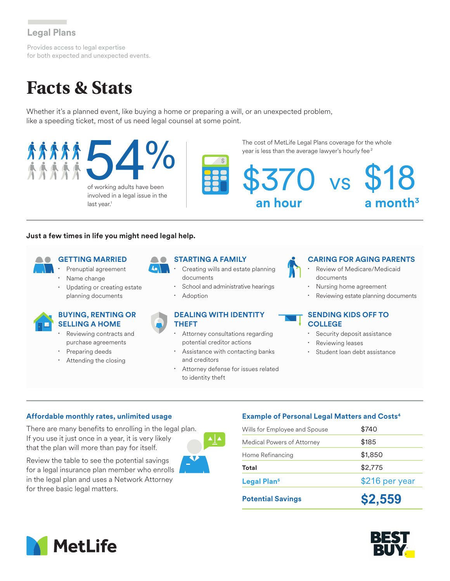## **Legal Plans**

Provides access to legal expertise for both expected and unexpected events.

# **Facts & Stats**

Whether it's a planned event, like buying a home or preparing a will, or an unexpected problem, like a speeding ticket, most of us need legal counsel at some point.



### **Just a few times in life you might need legal help.**

- **GETTING MARRIED** Prenuptial agreement
- Name change
- Updating or creating estate planning documents

### **BUYING, RENTING OR SELLING A HOME**

- Reviewing contracts and purchase agreements
- Preparing deeds
- Attending the closing

### **STARTING A FAMILY**

- Creating wills and estate planning documents
- School and administrative hearings
- **Adoption**

### **DEALING WITH IDENTITY THEFT**

- Attorney consultations regarding potential creditor actions
- Assistance with contacting banks and creditors
- Attorney defense for issues related to identity theft

### **CARING FOR AGING PARENTS**

- Review of Medicare/Medicaid documents
- Nursing home agreement
- Reviewing estate planning documents

### **SENDING KIDS OFF TO COLLEGE**

- Security deposit assistance
- Reviewing leases
- Student loan debt assistance

### **Affordable monthly rates, unlimited usage**

There are many benefits to enrolling in the legal plan. If you use it just once in a year, it is very likely that the plan will more than pay for itself.

Review the table to see the potential savings for a legal insurance plan member who enrolls in the legal plan and uses a Network Attorney for three basic legal matters.



### **Example of Personal Legal Matters and Costs4**

| <b>Potential Savings</b>      | \$2,559        |  |
|-------------------------------|----------------|--|
| Legal Plan <sup>5</sup>       | \$216 per year |  |
| Total                         | \$2,775        |  |
| Home Refinancing              | \$1,850        |  |
| Medical Powers of Attorney    | \$185          |  |
| Wills for Employee and Spouse | \$740          |  |